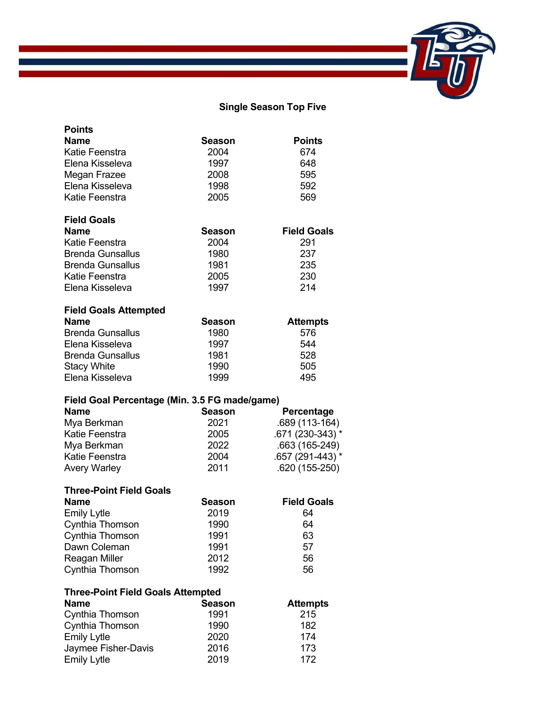## **Single Season Top Five**

| <b>Points</b>                                 |               |                    |
|-----------------------------------------------|---------------|--------------------|
| Name                                          | <b>Season</b> | <b>Points</b>      |
| Katie Feenstra                                | 2004          | 674                |
| Elena Kisseleva                               | 1997          | 648                |
| Megan Frazee                                  | 2008          | 595                |
| Elena Kisseleva                               | 1998          | 592                |
| Katie Feenstra                                | 2005          | 569                |
| <b>Field Goals</b>                            |               |                    |
| <b>Name</b>                                   | Season        | <b>Field Goals</b> |
| Katie Feenstra                                | 2004          | 291                |
| <b>Brenda Gunsallus</b>                       | 1980          | 237                |
| <b>Brenda Gunsallus</b>                       | 1981          | 235                |
| Katie Feenstra                                | 2005          | 230                |
| Elena Kisseleva                               | 1997          | 214                |
| <b>Field Goals Attempted</b>                  |               |                    |
| <b>Name</b>                                   | <b>Season</b> | <b>Attempts</b>    |
| <b>Brenda Gunsallus</b>                       | 1980          | 576                |
| Elena Kisseleva                               | 1997          | 544                |
| <b>Brenda Gunsallus</b>                       | 1981          | 528                |
| <b>Stacy White</b>                            | 1990          | 505                |
| Elena Kisseleva                               | 1999          | 495                |
| Field Goal Percentage (Min. 3.5 FG made/game) |               |                    |
| Name                                          | <b>Season</b> | Percentage         |
| Mya Berkman                                   | 2021          | .689 (113-164)     |
| Katie Feenstra                                | 2005          | .671 (230-343) *   |
| Mya Berkman                                   | 2022          | .663 (165-249)     |
| Katie Feenstra                                | 2004          | .657 (291-443) *   |
| <b>Avery Warley</b>                           | 2011          | .620 (155-250)     |
| <b>Three-Point Field Goals</b>                |               |                    |
| <b>Name</b>                                   | Season        | <b>Field Goals</b> |
| <b>Emily Lytle</b>                            | 2019          | 64                 |
| Cynthia Thomson                               | 1990          | 64                 |
| Cynthia Thomson                               | 1991          | 63                 |
| Dawn Coleman                                  | 1991          | 57                 |
| Reagan Miller                                 | 2012          | 56                 |
| Cynthia Thomson                               |               |                    |
|                                               | 1992          | 56                 |
| <b>Three-Point Field Goals Attempted</b>      |               |                    |
| <b>Name</b>                                   | <b>Season</b> | <b>Attempts</b>    |
| Cynthia Thomson                               | 1991          | 215                |
| Cynthia Thomson                               | 1990          | 182                |
| <b>Emily Lytle</b>                            | 2020          | 174                |
| Jaymee Fisher-Davis<br><b>Emily Lytle</b>     | 2016<br>2019  | 173<br>172         |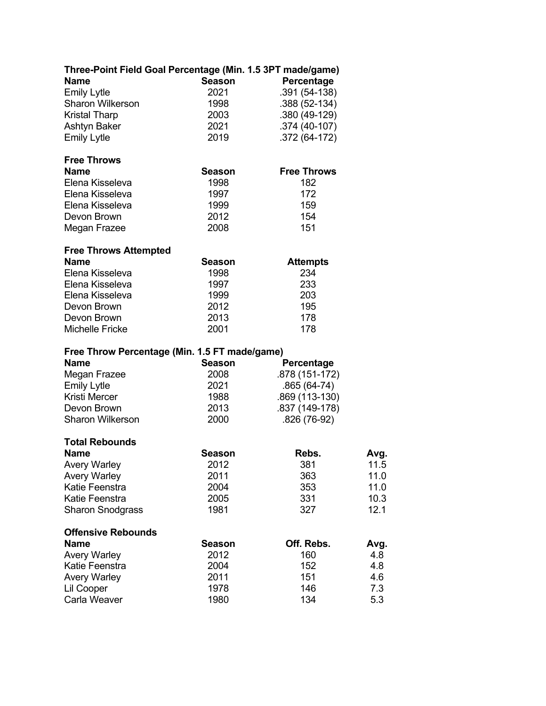| Three-Point Field Goal Percentage (Min. 1.5 3PT made/game) |               |                    |      |
|------------------------------------------------------------|---------------|--------------------|------|
| <b>Name</b>                                                | <b>Season</b> | Percentage         |      |
| <b>Emily Lytle</b>                                         | 2021          | .391 (54-138)      |      |
| Sharon Wilkerson                                           | 1998          | .388 (52-134)      |      |
| <b>Kristal Tharp</b>                                       | 2003          | .380 (49-129)      |      |
| Ashtyn Baker                                               | 2021          | .374 (40-107)      |      |
| <b>Emily Lytle</b>                                         | 2019          | .372 (64-172)      |      |
| <b>Free Throws</b>                                         |               |                    |      |
| <b>Name</b>                                                | <b>Season</b> | <b>Free Throws</b> |      |
| Elena Kisseleva                                            | 1998          | 182                |      |
| Elena Kisseleva                                            | 1997          | 172                |      |
| Elena Kisseleva                                            | 1999          | 159                |      |
| Devon Brown                                                | 2012          | 154                |      |
| Megan Frazee                                               | 2008          | 151                |      |
| <b>Free Throws Attempted</b>                               |               |                    |      |
| Name                                                       | Season        | <b>Attempts</b>    |      |
| Elena Kisseleva                                            | 1998          | 234                |      |
| Elena Kisseleva                                            | 1997          | 233                |      |
| Elena Kisseleva                                            | 1999          | 203                |      |
| Devon Brown                                                | 2012          | 195                |      |
| Devon Brown                                                | 2013          | 178                |      |
| <b>Michelle Fricke</b>                                     | 2001          | 178                |      |
| Free Throw Percentage (Min. 1.5 FT made/game)              |               |                    |      |
| Name                                                       | <b>Season</b> | Percentage         |      |
| Megan Frazee                                               | 2008          | .878 (151-172)     |      |
| <b>Emily Lytle</b>                                         | 2021          | $.865(64-74)$      |      |
| <b>Kristi Mercer</b>                                       | 1988          | .869 (113-130)     |      |
| Devon Brown                                                | 2013          | .837 (149-178)     |      |
| <b>Sharon Wilkerson</b>                                    | 2000          | .826 (76-92)       |      |
| <b>Total Rebounds</b>                                      |               |                    |      |
| Name                                                       | <b>Season</b> | Rebs.              | Avg. |
| <b>Avery Warley</b>                                        | 2012          | 381                | 11.5 |
| <b>Avery Warley</b>                                        | 2011          | 363                | 11.0 |
| Katie Feenstra                                             | 2004          | 353                | 11.0 |
| Katie Feenstra                                             | 2005          | 331                | 10.3 |
| <b>Sharon Snodgrass</b>                                    | 1981          | 327                | 12.1 |
| <b>Offensive Rebounds</b>                                  |               |                    |      |
| <b>Name</b>                                                | <b>Season</b> | Off. Rebs.         | Avg. |
| <b>Avery Warley</b>                                        | 2012          | 160                | 4.8  |
| Katie Feenstra                                             | 2004          | 152                | 4.8  |
| <b>Avery Warley</b>                                        | 2011          | 151                | 4.6  |
| Lil Cooper                                                 | 1978          | 146                | 7.3  |
| Carla Weaver                                               | 1980          | 134                | 5.3  |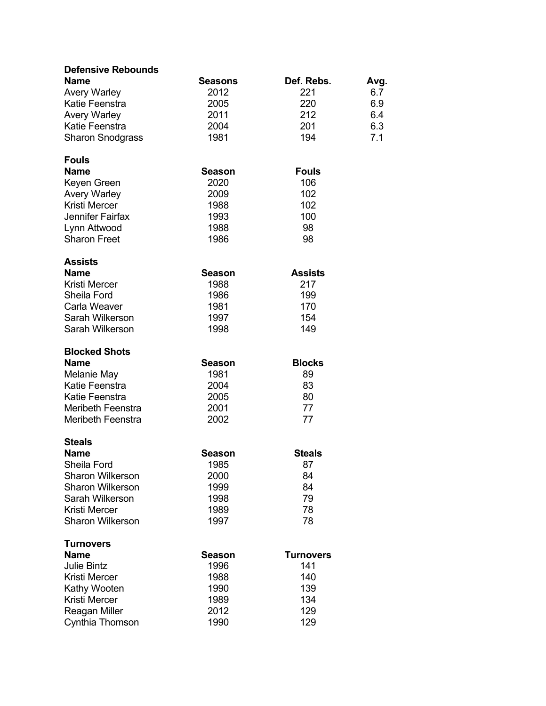| <b>Defensive Rebounds</b>  |                |                  |      |
|----------------------------|----------------|------------------|------|
| <b>Name</b>                | <b>Seasons</b> | Def. Rebs.       | Avg. |
| <b>Avery Warley</b>        | 2012           | 221              | 6.7  |
| Katie Feenstra             | 2005           | 220              | 6.9  |
| <b>Avery Warley</b>        | 2011           | 212              | 6.4  |
| Katie Feenstra             | 2004           | 201              | 6.3  |
| <b>Sharon Snodgrass</b>    | 1981           | 194              | 7.1  |
|                            |                |                  |      |
| <b>Fouls</b>               |                |                  |      |
| <b>Name</b>                | <b>Season</b>  | <b>Fouls</b>     |      |
| Keyen Green                | 2020           | 106              |      |
| <b>Avery Warley</b>        | 2009           | 102              |      |
| <b>Kristi Mercer</b>       | 1988           | 102              |      |
| Jennifer Fairfax           | 1993           | 100              |      |
| Lynn Attwood               | 1988           | 98               |      |
| <b>Sharon Freet</b>        | 1986           | 98               |      |
|                            |                |                  |      |
| Assists<br><b>Name</b>     | <b>Season</b>  | <b>Assists</b>   |      |
| Kristi Mercer              | 1988           | 217              |      |
| Sheila Ford                | 1986           | 199              |      |
| Carla Weaver               | 1981           | 170              |      |
| Sarah Wilkerson            | 1997           | 154              |      |
| Sarah Wilkerson            | 1998           | 149              |      |
|                            |                |                  |      |
| <b>Blocked Shots</b>       |                |                  |      |
| Name                       | <b>Season</b>  | <b>Blocks</b>    |      |
| Melanie May                | 1981           | 89               |      |
| Katie Feenstra             | 2004           | 83               |      |
| Katie Feenstra             | 2005           | 80               |      |
| Meribeth Feenstra          | 2001           | 77               |      |
| <b>Meribeth Feenstra</b>   | 2002           | 77               |      |
|                            |                |                  |      |
| <b>Steals</b>              |                |                  |      |
| <b>Name</b><br>Sheila Ford | <b>Season</b>  | <b>Steals</b>    |      |
| <b>Sharon Wilkerson</b>    | 1985           | 87               |      |
| <b>Sharon Wilkerson</b>    | 2000           | 84<br>84         |      |
| Sarah Wilkerson            | 1999           | 79               |      |
| Kristi Mercer              | 1998<br>1989   | 78               |      |
| <b>Sharon Wilkerson</b>    | 1997           | 78               |      |
|                            |                |                  |      |
| <b>Turnovers</b>           |                |                  |      |
| <b>Name</b>                | <b>Season</b>  | <b>Turnovers</b> |      |
| <b>Julie Bintz</b>         | 1996           | 141              |      |
| Kristi Mercer              | 1988           | 140              |      |
| Kathy Wooten               | 1990           | 139              |      |
| Kristi Mercer              | 1989           | 134              |      |
| Reagan Miller              | 2012           | 129              |      |
| Cynthia Thomson            | 1990           | 129              |      |